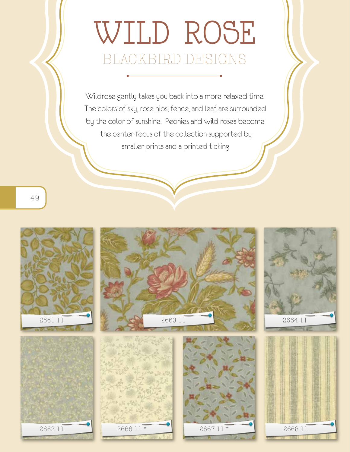## wild rose blackbird designs

Wildrose gently takes you back into a more relaxed time. The colors of sky, rose hips, fence, and leaf are surrounded by the color of sunshine. Peonies and wild roses become the center focus of the collection supported by smaller prints and a printed ticking

49

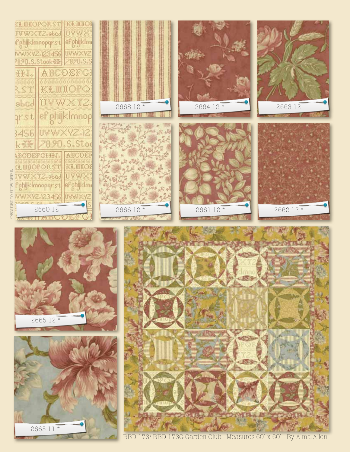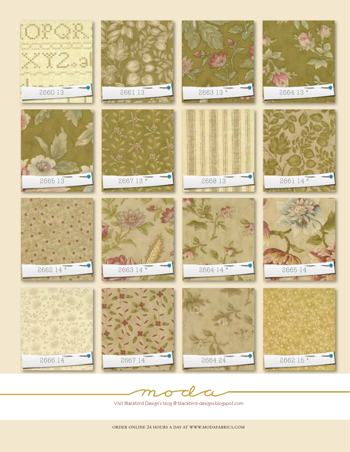



Visit Blackbird Design's blog @ blackbird-designs.blogspot.com

Order online 24 hours a day at www.modafabrics.com